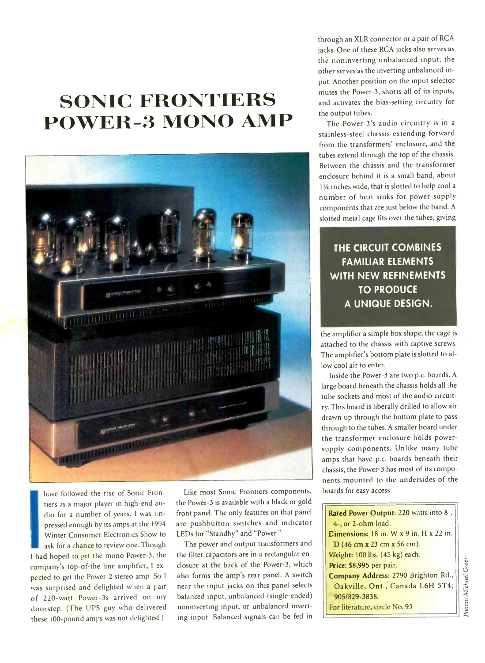## **SONIC FRONTIERS POWER-3 MONO AMP**



have followed the rise of Sonic Frontiers as a major player in high-end audio for a number of years. I was impressed enough by its amps at the 1994 Winter Consumer Electronics Show to ask for a chance to review one. Though I had hoped to get the mono Power-3, the company's top-of-the line amplifier, I expected to get the Power-2 stereo amp. So I was surprised and delighted when a pair of 220-watt Power-3s arrived on my doorstep. (The UPS guy who delivered these 100-pound amps was not delighted.)

Like most Sonic Frontiers components, the Power-3 is available with a black or gold front panel. The only features on that panel are pushbutton switches and indicator LEDs for "Standby" and "Power."

The power and output transformers and the filter capacitors are in a rectangular enclosure at the back of the Power-3, which also forms the amp's rear panel. A switch near the input jacks on this panel selects balanced input, unbalanced (single-ended) noninverting input, or unbalanced inverting input. Balanced signals can be fed in

through an XLR connector or a pair of RCA jacks. One of these RCA jacks also serves as the noninverting unbalanced input; the other serves as the inverting unbalanced input. Another position on the input selector mutes the Power-3, shorts all of its inputs, and activates the bias-setting circuitry for the output tubes.

The Power-3's audio circuitry is in a stainless-steel chassis extending forward from the transformers' enclosure, and the tubes extend through the top of the chassis. Between the chassis and the transformer enclosure behind it is a small band, about 11/4 inches wide, that is slotted to help cool a number of heat sinks for power-supply components that are just below the band. A slotted metal cage fits over the tubes, giving

**THE CIRCUIT COMBINES FAMILIAR ELEMENTS WITH NEW REFINEMENTS TO PRODUCE A UNIQUE DESIGN.**

the amplifier a simple box shape; the cage is attached to the chassis with captive screws. The amplifier's bottom plate is slotted to allow cool air to enter.

Inside the Power-3 are two p.c. boards. A large board beneath the chassis holds all the tube sockets and most of the audio circuitry. This board is liberally drilled to allow air drawn up through the bottom plate to pass through to the tubes. A smaller board under the transformer enclosure holds powersupply components. Unlike many tube amps that have p.c. boards beneath their chassis, the Power-3 has most of its components mounted to the undersides of the boards for easy access.

**Rated Power Output: 220 watts into 8-,** 4- **or** 2-ohm load. **Dimensions:** 18 in. W x 9 in. H x 22 in. D (46 cm x 23 cm x 56 cm). **V/eight:** 100 lbs. (45 **kg)** each. **Price:** \$8,995 per pair. **Company Address: 2790** Brighton Rd., Oakville, **Ont.,** Canada L6H 5T4; **905/829-3838.** For literature, circle No. 93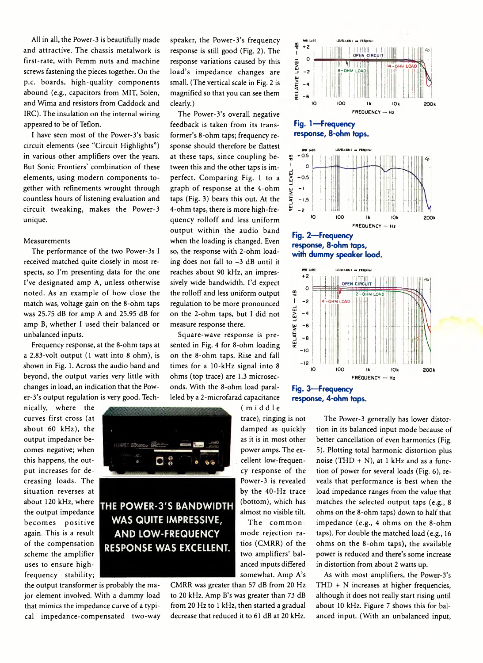All in all, the Power-3 is beautifully made and attractive. The chassis metalwork is first-rate, with Pemm nuts and machine screws fastening the pieces together. On the p.c. boards, high-quality components abound (e.g., capacitors from MIT, Solen, and Wima and resistors from Caddock and IRC). The insulation on the internal wiring appeared to be of Teflon.

I have seen most of the Power-3's basic circuit elements (see "Circuit Highlights") in various other amplifiers over the years. But Sonic Frontiers' combination of these elements, using modern components together with refinements wrought through countless hours of listening evaluation and circuit tweaking, makes the Power-3 unique.

## Measurements

The performance of the two Power-3s I received matched quite closely in most respects, so I'm presenting data for the one I've designated amp A, unless otherwise noted. As an example of how close the match was, voltage gain on the 8-ohm taps was 25.75 dB for amp A and 25.95 dB for amp B, whether I used their balanced or unbalanced inputs.

Frequency response, at the 8-ohm taps at a 2.83-volt output (1 watt into 8 ohm), is shown in Fig. 1. Across the audio band and beyond, the output varies very little with changes in load, an indication that the Power-3's output regulation is very good. Tech-

nically, where the curves first cross (at about 60 kHz), the output impedance becomes negative; when this happens, the output increases for decreasing loads. The situation reverses at about 120 kHz, where the output impedance becomes positive again. This is a result of the compensation scheme the amplifier uses to ensure highfrequency stability;



**THE POWER-3'S BANDWIDTH WAS QUITE IMPRESSIVE, AND LOW-FREQUENCY RESPONSE WAS EXCELLENT.**

the output transformer is probably the major element involved. With a dummy load that mimics the impedance curve of a typical impedance-compensated two-way speaker, the Power-3's frequency response is still good (Fig. 2). The response variations caused by this load's impedance changes are small. (The vertical scale in Fig. 2 is magnified so that you can see them clearly.)

The Power-3's overall negative feedback is taken from its transformer's 8-ohm taps; frequency response should therefore be flattest at these taps, since coupling between this and the other taps is imperfect. Comparing Fig. 1 to a graph of response at the 4-ohm taps (Fig. 3) bears this out. At the 4-ohm taps, there is more high-frequency rolloff and less uniform output within the audio band when the loading is changed. Even so, the response with 2-ohm loading does not fall to -3 dB until it reaches about 90 kHz, an impressively wide bandwidth. I'd expect the rolloff and less uniform output regulation to be more pronounced on the 2-ohm taps, but I did not measure response there.

Square-wave response is presented in Fig. 4 for 8-ohm loading on the 8-ohm taps. Rise and fall times for a 10-kHz signal into 8 ohms (top trace) are 1.3 microseconds. With the 8-ohm load paralleled by a 2-microfarad capacitance

> (middle trace), ringing is not damped as quickly as it is in most other power amps. The excellent low-frequency response of the Power-3 is revealed by the 40-Hz trace (bottom), which has almost no visible tilt.

> The commonmode rejection ratios (CMRR) of the two amplifiers' balanced inputs differed somewhat. Amp A's

CMRR was greater than 57 dB from 20 Hz to 20 kHz. Amp B's was greater than 73 dB from 20 Hz to 1 kHz, then started a gradual decrease that reduced it to 61 dB at 20 kHz.





The Power-3 generally has lower distortion in its balanced input mode because of better cancellation of even harmonics (Fig. 5). Plotting total harmonic distortion plus noise (THD + N), at 1 kHz and as a function of power for several loads (Fig. 6), reveals that performance is best when the load impedance ranges from the value that matches the selected output taps (e.g., 8 ohms on the 8-ohm taps) down to half that impedance (e.g., 4 ohms on the 8-ohm taps). For double the matched load (e.g., 16 ohms on the 8-ohm taps), the available power is reduced and there's some increase in distortion from about 2 watts up.

As with most amplifiers, the Power-3's THD + N increases at higher frequencies, although it does not really start rising until about 10 kHz. Figure 7 shows this for balanced input. (With an unbalanced input,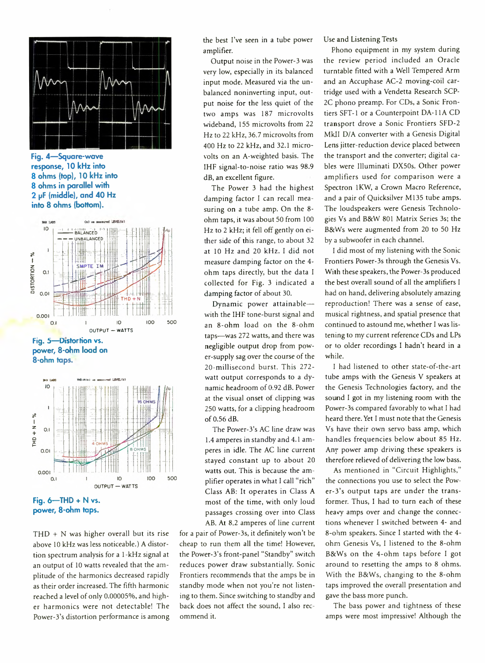

**Fig. 4— Square-wave response, 10 kHz into 8 ohms (top), 10 kHz into 8 ohms in parallel with 2 pF (middle)/ and 40 Hz into 8 ohms (bottom).**



**Fig. 5— Distortion vs. power, 8-ohm load on 8-ohm taps.**



**power, 8-ohm taps.**

 $THD + N$  was higher overall but its rise above 10 kHz was less noticeable.) A distortion spectrum analysis for a 1-kHz signal at an output of 10 watts revealed that the amplitude of the harmonics decreased rapidly as their order increased. The fifth harmonic reached a level of only 0.00005%, and higher harmonics were not detectable! The Power-3's distortion performance is among the best I've seen in a tube power amplifier.

Output noise in the Power-3 was very low, especially in its balanced input mode. Measured via the unbalanced noninverting input, output noise for the less quiet of the two amps was 187 microvolts wideband, 155 microvolts from 22 Hz to 22 kHz, 36.7 microvolts from 400 Hz to 22 kHz, and 32.1 microvolts on an A-weighted basis. The IHF signal-to-noise ratio was 98.9 dB, an excellent figure.

The Power 3 had the highest damping factor 1 can recall measuring on a tube amp. On the 8 ohm taps, it was about 50 from 100 Hz to 2 kHz; it fell off gently on either side of this range, to about 32 at 10 Hz and 20 kHz. 1 did not measure damping factor on the 4 ohm taps directly, but the data 1 collected for Fig. 3 indicated a damping factor of about 30.

Dynamic power attainable with the IHF tone-burst signal and an 8-ohm load on the 8-ohm taps—was 272 watts, and there was negligible output drop from power-supply sag over the course of the 20-millisecond burst. This 272 watt output corresponds to a dynamic headroom of 0.92 dB. Power at the visual onset of clipping was 250 watts, for a clipping headroom of 0.56 dB.

The Power-3's AC line draw was 1.4 amperes in standby and 4.1 amperes in idle. The AC line current stayed constant up to about 20 watts out. This is because the amplifier operates in what 1 call "rich" Class AB: It operates in Class A most of the time, with only loud passages crossing over into Class AB. At 8.2 amperes of line current

for a pair of Power-3s, it definitely won't be cheap to run them all the time! However, the Power-3's front-panel "Standby" switch reduces power draw substantially. Sonic Frontiers recommends that the amps be in standby mode when not you're not listening to them. Since switching to standby and back does not affect the sound, I also recommend it.

Use and Listening Tests

Phono equipment in my system during the review period included an Oracle turntable fitted with a Well Tempered Arm and an Accuphase AC-2 moving-coil cartridge used with a Vendetta Research SCP-2C phono preamp. For CDs, a Sonic Frontiers SFT-1 or a Counterpoint DA-11A CD transport drove a Sonic Frontiers SFD-2 MkII D/A converter with a Genesis Digital Lens jitter-reduction device placed between the transport and the converter; digital cables were Illuminati DX50s. Other power amplifiers used for comparison were a Spectron 1KW, a Crown Macro Reference, and a pair of Quicksilver M135 tube amps. The loudspeakers were Genesis Technologies Vs and B8tW 801 Matrix Series 3s; the B8tWs were augmented from 20 to 50 Hz by a subwoofer in each channel.

1 did most of my listening with the Sonic Frontiers Power-3s through the Genesis Vs. With these speakers, the Power-3s produced the best overall sound of all the amplifiers 1 had on hand, delivering absolutely amazing reproduction! There was a sense of ease, musical rightness, and spatial presence that continued to astound me, whether 1 was listening to my current reference CDs and LPs or to older recordings I hadn't heard in a while.

1 had listened to other state-of-the-art tube amps with the Genesis V speakers at the Genesis Technologies factory, and the sound 1 got in my listening room with the Power-3s compared favorably to what 1 had heard there. Yet 1 must note that the Genesis Vs have their own servo bass amp, which handles frequencies below about 85 Hz. Any power amp driving these speakers is therefore relieved of delivering the low bass.

As mentioned in "Circuit Highlights," the connections you use to select the Power-3's output taps are under the transformer. Thus, I had to turn each of these heavy amps over and change the connections whenever 1 switched between 4- and 8-ohm speakers. Since I started with the 4 ohm Genesis Vs, 1 listened to the 8-ohm B8tWs on the 4-ohm taps before 1 got around to resetting the amps to 8 ohms. With the B8tWs, changing to the 8-ohm taps improved the overall presentation and gave the bass more punch.

The bass power and tightness of these amps were most impressive! Although the